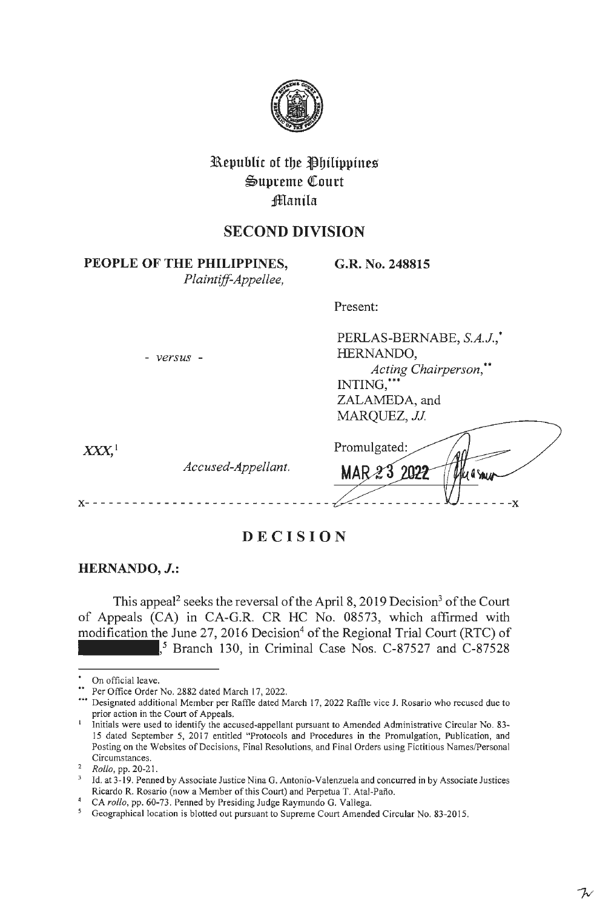

# **l\epublic of toe ~bilippine%**   $\mathfrak{S}$ upreme Court **:fflanila**

## **SECOND DIVISION**

**PEOPLE OF THE PHILIPPINES,** 

*Plaintiff-Appellee,* 

**G.R. No. 248815** 

Present:

Promulgated:

MAR23

- *versus* -

PERLAS-BERNABE, *S.A.J.,* \* HERNANDO, *Acting Chairperson,\*\**  ZALAMEDA, and *MARQUEZ, JJ.* 

フィ

 $XXX<sup>1</sup>$ 

*Accused-Appellant.* 

**x-** - - - - - - - - - - - - - - - - - - - - - - - - - - - - - - - - - - - - **-x** 

**DECISION** 

### **HERNANDO, J.:**

This appeal<sup>2</sup> seeks the reversal of the April 8, 2019 Decision<sup>3</sup> of the Court of Appeals (CA) in CA-G.R. CR HC No. 08573, which affirmed with modification the June 27, 2016 Decision<sup>4</sup> of the Regional Trial Court (RTC) of , 5 Branch 130, in Criminal Case Nos. C-87527 and C-87528

On official leave.

Per Office Order No. 2882 dated March 17, 2022.

<sup>•••</sup> Designated additional Member per Raffle dated March 17, 2022 Raffle vice J. Rosario who recused due to prior action in the Court of Appeals.

<sup>1</sup>Initials were used to identify the accused-appellant pursuant to Amended Administrative Circular No. 83- 15 dated September *5,* 2017 entitled "Protocols and Procedures in the Promulgation, Publication, and Posting on the Websites of Decisions, Final Resolutions, and Final Orders using Fictitious Names/Personal Circumstances.

<sup>2</sup>*Rollo,* **pp. 20-21.** 

<sup>&</sup>lt;sup>3</sup> Id. at 3-19. Penned by Associate Justice Nina G. Antonio-Valenzuela and concurred in by Associate Justices Ricardo R. Rosario (now a Member of this Court) and Perpetua T. Atal-Paflo.

<sup>4</sup>CA *rollo,* pp. 60-73. Penned by Presiding Judge Raymundo G. Vallega.

<sup>&</sup>lt;sup>5</sup> Geographical location is blotted out pursuant to Supreme Court Amended Circular No. 83-2015.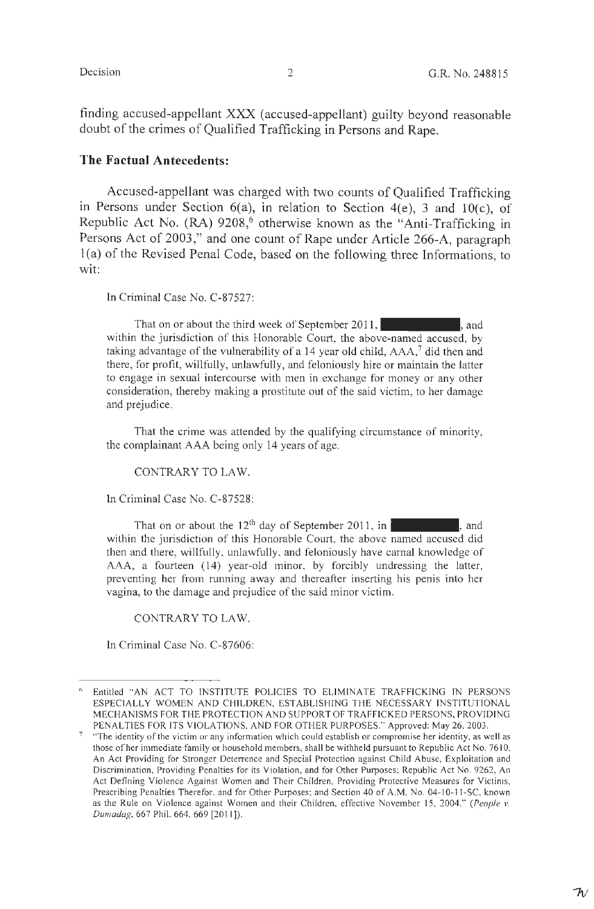finding accused-appellant XXX (accused-appellant) guilty beyond reasonable doubt of the crimes of Qualified Trafficking in Persons and Rape.

#### **The Factual Antecedents:**

Accused-appellant was charged with two counts of Qualified Trafficking in Persons under Section  $6(a)$ , in relation to Section  $4(e)$ , 3 and  $10(c)$ , of Republic Act No. (RA) 9208,<sup>6</sup> otherwise known as the "Anti-Trafficking in Persons Act of 2003," and one count of Rape under Article 266-A, paragraph 1 (a) of the Revised Penal Code, based on the following three Informations, to wit:

ln Criminal Case No. C-87527:

That on or about the third week of September 2011, within the jurisdiction of this Honorable Court, the above-named accused, by taking advantage of the vulnerability of a 14 year old child, AAA,<sup>7</sup> did then and there, for profit, willfully, unlawfully, and feloniously hire or maintain the latter to engage in sexual intercourse with men in exchange for money or any other consideration, thereby making a prostitute out of the said victim, to her damage and prejudice.

That the crime was attended by the qualifying circumstance of minority, the complainant AAA being only 14 years of age.

CONTRARY TO LAW.

In Criminal Case No. C-87528:

That on or about the  $12<sup>th</sup>$  day of September 2011, in , and , and within the jurisdiction of this Honorable Court, the above named accused did then and there, willfully, unlawfully, and feloniously have carnal knowledge of AAA, a fourteen (14) year-old minor, by forcibly undressing the latter, preventing her from running away and thereafter inserting his penis into her vagina, to the damage and prejudice of the said minor victim.

#### CONTRARY TO LAW.

In Criminal Case No. C-87606:

Entitled "AN ACT TO INSTITUTE POLICIES TO ELIMINATE TRAFFICKING IN PERSONS ESPECIALLY WOMEN AND CHILDREN, ESTABLISHING THE NECESSARY INSTITUTIONAL MECHANISMS FOR THE PROTECTION AND SUPPORT OF TRAFFICKED PERSONS, PROVIDING

PENALTIES FOR ITS VIOLATIONS, AND FOR OTHER PURPOSES." Approved: May 26, 2003. "The identity of the victim or any information which could establish or compromise her identity, as well as those of her immediate family or household members, shall be withheld pursuant to Republic Act No. 7610, An Act Providing for Stronger Deterrence and Special Protection against Child Abuse, Exploitation and Discrimination, Providing Penalties for its Violation, and for Other Purposes; Republic Act No. 9262, An Act Defining Violence Against Women and Their Children, Providing Protective Measures for Victims, Prescribing Penalties Therefor, and for Other Purposes; and Section 40 of A.M. No. 04-10-11-SC, known as the Rule on Violence against Women and their Children, effective November 15, 2004." *(People v. Dumadag, 667 Phil. 664, 669 [2011]).*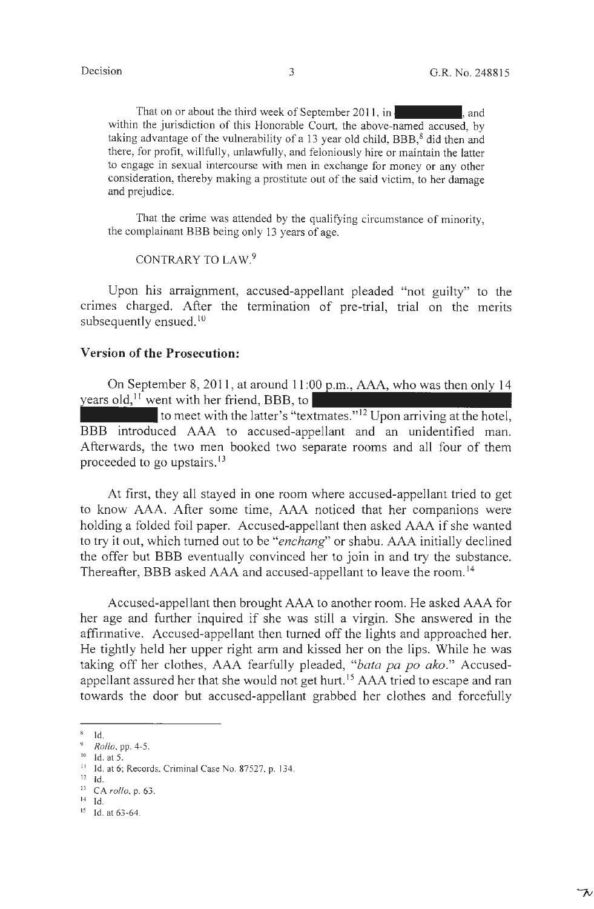ブ

That on or about the third week of September 2011, in  $\mathbf{I}$ , and within the jurisdiction of this Honorable Court, the above-named accused, by taking advantage of the vulnerability of a 13 year old child,  $BBB$ , did then and there, for profit, willfully, unlawfully, and feloniously hire or maintain the latter to engage in sexual intercourse with men in exchange for money or any other consideration, thereby making a prostitute out of the said victim, to her damage and prejudice.

That the crime was attended by the qualifying circumstance of minority, the complainant BBB being only 13 years of age.

CONTRARY TO LAW.<sup>9</sup>

Upon his arraignment, accused-appellant pleaded "not guilty" to the crimes charged. After the termination of pre-trial, trial on the merits subsequently ensued.<sup>10</sup>

### **Version of the Prosecution:**

On September 8, 2011, at around  $11:00$  p.m., AAA, who was then only 14 years old,<sup> $11$ </sup> went with her friend, BBB, to

to meet with the latter's "textmates."<sup>12</sup> Upon arriving at the hotel, BBB introduced AAA to accused-appellant and an unidentified man. Afterwards, the two men booked two separate rooms and all four of them proceeded to go upstairs. <sup>13</sup>

At first, they all stayed in one room where accused-appellant tried to get to know AAA. After some time, AAA noticed that her companions were holding a folded foil paper. Accused-appellant then asked AAA if she wanted to try it out, which turned out to be *"enchang"* or shabu. AAA initially declined the offer but BBB eventually convinced her to join in and try the substance. Thereafter, BBB asked AAA and accused-appellant to leave the room. <sup>14</sup>

Accused-appellant then brought AAA to another room. He asked AAA for her age and further inquired if she was still a virgin. She answered in the affirmative. Accused-appellant then turned off the lights and approached her. He tightly held her upper right arm and kissed her on the lips. While he was taking off her clothes, AAA fearfully pleaded, *"bata pa po ako."* Accusedappellant assured her that she would not get hurt.<sup>15</sup> AAA tried to escape and ran towards the door but accused-appellant grabbed her clothes and forcefully

 $14$  Id.

 $\frac{8}{9}$  Id.<br>  $\frac{10}{10}$  *Rollo*, pp. 4-5.<br>  $\frac{10}{10}$  Id. at 5.

<sup>&</sup>lt;sup>11</sup> Id. at 6; Records, Criminal Case No. 87527, p. 134.

i2 Id.

<sup>13</sup> CA *rollo,* p. 63.

<sup>15</sup> Id. at 63-64.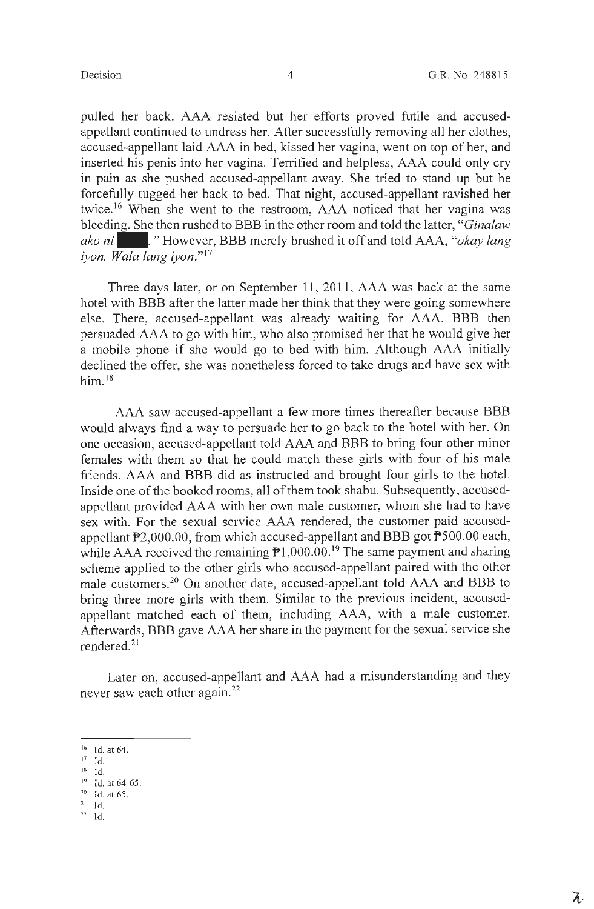pulled her back. AAA resisted but her efforts proved futile and accusedappellant continued to undress her. After successfully removing all her clothes, accused-appellant laid AAA in bed, kissed her vagina, went on top of her, and inserted his penis into her vagina. Terrified and helpless, AAA could only cry in pain as she pushed accused-appellant away. She tried to stand up but he forcefully tugged her back to bed. That night, accused-appellant ravished her twice.<sup>16</sup> When she went to the restroom, AAA noticed that her vagina was bleeding. She then rushed to BBB in the other room and told the latter, "*Ginalaw ako ni* | "However, BBB merely brushed it off and told AAA, "*okay lang iyon. Wala lang iyon."* <sup>17</sup>

Three days later, or on September 11, 2011, AAA was back at the same hotel with BBB after the latter made her think that they were going somewhere else. There, accused-appellant was already waiting for AAA. BBB then persuaded AAA to go with him, who also promised her that he would give her a mobile phone if she would go to bed with him. Although AAA initially declined the offer, she was nonetheless forced to take drugs and have sex with  $him.<sup>18</sup>$ 

AAA saw accused-appellant a few more times thereafter because BBB would always find a way to persuade her to go back to the hotel with her. On one occasion, accused-appellant told AAA and BBB to bring four other minor females with them so that he could match these girls with four of his male friends. AAA and BBB did as instructed and brought four girls to the hotel. Inside one of the booked rooms, all of them took shabu. Subsequently, accusedappellant provided AAA with her own male customer, whom she had to have sex with. For the sexual service AAA rendered, the customer paid accusedappellant  $P2,000.00$ , from which accused-appellant and BBB got  $P500.00$  each, while AAA received the remaining  $\mathbb{P}1,000.00$ .<sup>19</sup> The same payment and sharing scheme applied to the other girls who accused-appellant paired with the other male customers.20 On another date, accused-appellant told AAA and BBB to bring three more girls with them. Similar to the previous incident, accusedappellant matched each of them, including AAA, with a male customer. Afterwards, BBB gave AAA her share in the payment for the sexual service she rendered.<sup>21</sup>

Later on, accused-appellant and AAA had a misunderstanding and they never saw each other again.<sup>22</sup>

- $18$  Id.
- $19$  Id. at 64-65.<br>
<sup>20</sup> Id. at 65.
- $21$  Id.
- $22$  Id.

 $16$  Id. at 64.

 $17$  Id.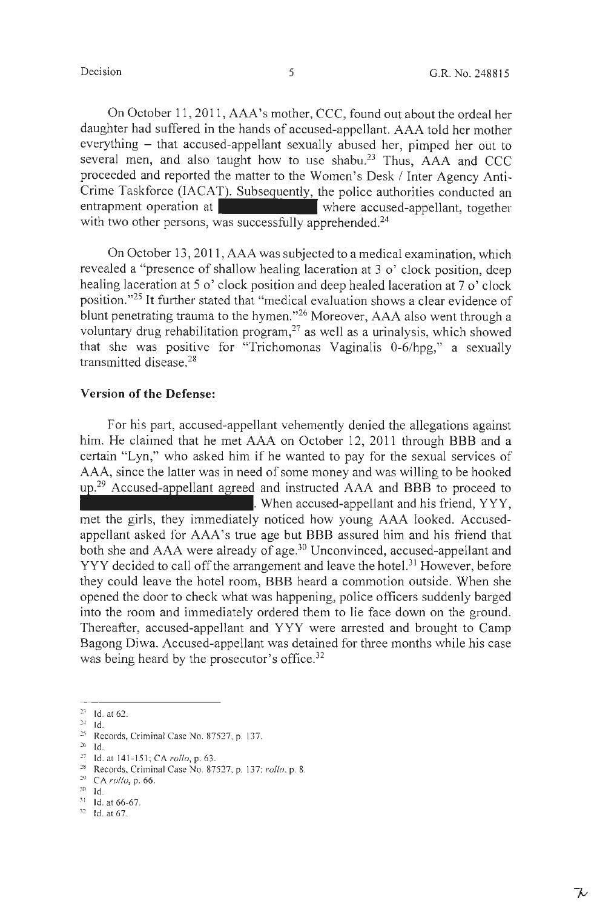On October 11, 2011, AAA's mother, CCC, found out about the ordeal her daughter had suffered in the hands of accused-appellant. AAA told her mother everything – that accused-appellant sexually abused her, pimped her out to several men, and also taught how to use shabu.<sup>23</sup> Thus,  $AAA$  and CCC proceeded and reported the matter to the Women's Desk/ Inter Agency Anti-Crime Taskforce (IACAT). Subsequently, the police authorities conducted an entrapment operation at where accused-appellant, together entrapment operation at - where accused-appellant, together with two other persons, was successfully apprehended.<sup>24</sup>

On October 13, 2011, AAA was subjected to a medical examination, which revealed a "presence of shallow healing laceration at 3 o' clock position, deep healing laceration at 5 o'clock position and deep healed laceration at 7 o' clock position."25 It further stated that "medical evaluation shows a clear evidence of blunt penetrating trauma to the hymen."26 Moreover, AAA also went through a voluntary drug rehabilitation program, $27$  as well as a urinalysis, which showed that she was positive for "Trichomonas Vaginalis 0-6/hpg," a sexually transmitted disease. 28

### **Version of the Defense:**

For his part, accused-appellant vehemently denied the allegations against him. He claimed that he met AAA on October 12, 2011 through BBB and a certain "Lyn," who asked him if he wanted to pay for the sexual services of AAA, since the latter was in need of some money and was willing to be hooked  $up.^{29}$  Accused-appellant agreed and instructed AAA and BBB to proceed to . When accused-appellant and his friend, YYY, met the girls, they immediately noticed how young AAA looked. Accusedappellant asked for AAA's true age but BBB assured him and his friend that both she and AAA were already of age.<sup>30</sup> Unconvinced, accused-appellant and YYY decided to call off the arrangement and leave the hotel.<sup>31</sup> However, before they could leave the hotel room, BBB heard a commotion outside. When she opened the door to check what was happening, police officers suddenly barged into the room and immediately ordered them to lie face down on the ground. Thereafter, accused-appellant and YYY were arrested and brought to Camp Bagong Diwa. Accused-appellant was detained for three months while his case

was being heard by the prosecutor's office.<sup>32</sup>

 $23$  Id. at 62.

 $^{24}$  Id.

<sup>25</sup> Records, Criminal Case No. 87527, p. 137.

 $26$  Id.

<sup>27</sup> Id . at 14 1-1 <sup>5</sup> 1; CA *rollo,* p. 63. 28 Records, Criminal Case No. 87527, p. <sup>13</sup> 7; *rollo,* p. 8. 29 CA *roilo,* p. 66.

 $30$  Id.

 $31$  1d. at 66-67.<br> $32$  1d. at 67.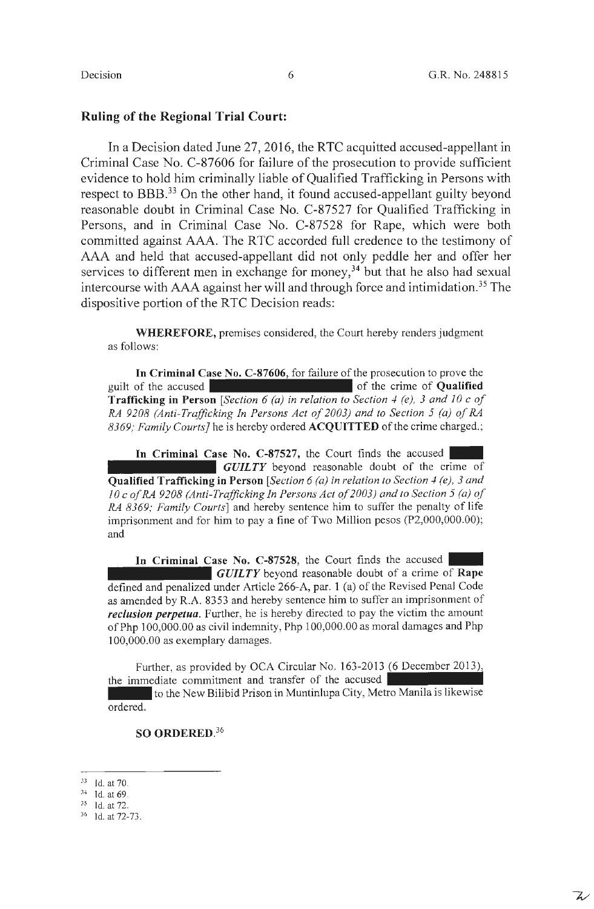$\mathcal{L}^{\prime}$ 

#### **Ruling of the Regional Trial Court:**

In a Decision dated June 27, 2016, the RTC acquitted accused-appellant in Criminal Case No. C-87606 for failure of the prosecution to provide sufficient evidence to hold him criminally liable of Qualified Trafficking in Persons with respect to BBB.33 On the other hand, it found accused-appellant guilty beyond reasonable doubt in Criminal Case No. C-87527 for Qualified Trafficking in Persons, and in Criminal Case No. C-87528 for Rape, which were both committed against AAA. The RTC accorded full credence to the testimony of AAA and held that accused-appellant did not only peddle her and offer her services to different men in exchange for money, $34$  but that he also had sexual intercourse with AAA against her will and through force and intimidation.<sup>35</sup> The dispositive portion of the RTC Decision reads:

**WHEREFORE,** premises considered, the Court hereby renders judgment as follows:

**In Criminal Case No. C-87606,** for failure of the prosecution to prove the guilt of the accused of the crime of **Qualified Trafficking in Person** [ *Section 6 (a) in relation to Section 4 (e), 3 and IO* c *of RA 9208 (Anti-Trafficking In Persons Act of 2003) and to Section 5 (a) of RA 8369; Family Courts}* he is hereby ordered **ACQUITTED** of the crime charged.;

In Criminal Case No. C-87527, the Court finds the accused *GUILTY* beyond reasonable doubt of the crime of **Qualified Trafficking in Person** *[Section 6 (a) in relation to Section 4 (e), 3 and IO* c *of RA 9208 (Anti-Trafficking In Persons Act of 2003) and to Section 5 (a) of RA 8369; Family Courts]* and hereby sentence him to suffer the penalty of life imprisonment and for him to pay a fine of Two Million pesos (P2,000,000.00); and

In Criminal Case No. C-87528, the Court finds the accused *GUILTY* beyond reasonable doubt of a crime of **Rape**  defined and penalized under Article 266-A, par. 1 (a) of the Revised Penal Code as amended by R.A. 8353 and hereby sentence him to suffer an imprisonment of *reclusion perpetua.* Further, he is hereby directed to pay the victim the amount of Php 100,000.00 as civil indemnity, Php 100,000.00 as moral damages and Php 100,000.00 as exemplary damages.

Further, as provided by OCA Circular No. 163 -2013 (6 December 2013), the immediate commitment and transfer of the accused

to the New Bilibid Prison in Muntinlupa City, Metro Manila is likewise ordered.

### **SO ORDERED.<sup>36</sup>**

 $^{33}$  Id. at 70.<br> $^{34}$  Id. at 69.<br> $^{35}$  Id. at 72.

<sup>36</sup> ld.at 72-73.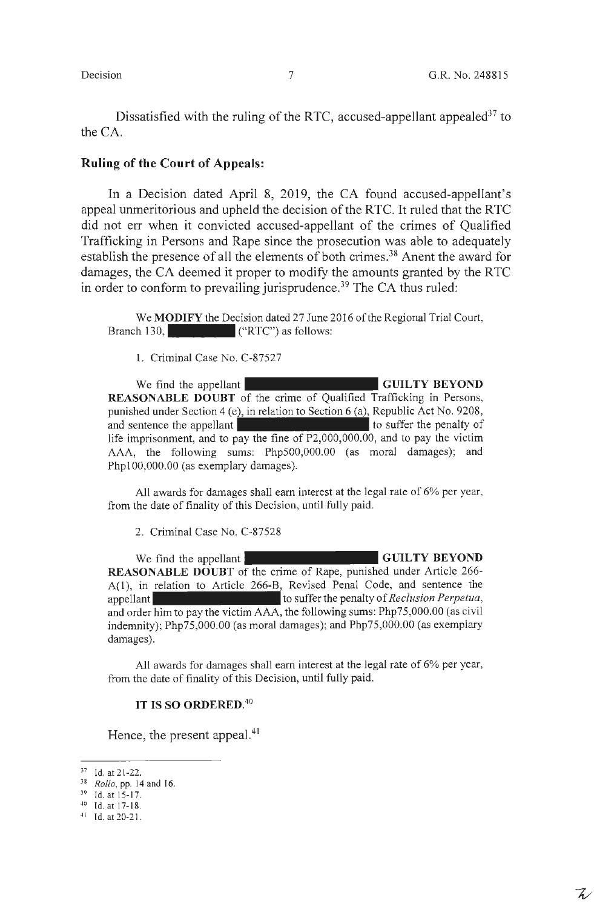$\mathcal{L}'$ 

Dissatisfied with the ruling of the RTC, accused-appellant appealed  $37$  to the CA.

#### **Ruling of the Court of Appeals:**

In a Decision dated April 8, 2019, the CA found accused-appellant's appeal unmeritorious and upheld the decision of the RTC. It ruled that the RTC did not err when it convicted accused-appellant of the crimes of Qualified Trafficking in Persons and Rape since the prosecution was able to adequately establish the presence of all the elements of both crimes.<sup>38</sup> Anent the award for damages, the CA deemed it proper to modify the amounts granted by the RTC in order to conform to prevailing jurisprudence.<sup>39</sup> The CA thus ruled:

We **MODIFY** the Decision dated 27 June 2016 of the Regional Trial Court, Branch 130, ("RTC") as follows:

1. Criminal Case No. C-87527

We find the appellant **GUILTY BEYOND REASONABLE DOUBT** of the crime of Qualified Trafficking in Persons, punished under Section 4 (e), in relation to Section 6 (a), Republic Act No. 9208, and sentence the appellant to suffer the penalty of life imprisonment, and to pay the fine of P2,000,000.00, and to pay the victim AAA, the following sums: Php500,000.00 (as moral damages); and Phpl00,000.00 (as exemplary damages).

All awards for damages shall earn interest at the legal rate of 6% per year, from the date of finality of this Decision, until fully paid.

2. Criminal Case No. C-87528

We find the appellant **GUILTY BEYOND REASONABLE DOUBT** of the crime of Rape, punished under Article 266- A(1), in relation to Article 266-B, Revised Penal Code, and sentence the appellant to suffer the penalty of *Reclusion Perpetua,*  and order him to pay the victim AAA, the following sums: Php75,000.00 (as civil indemnity); Php75,000.00 (as moral damages); and Php75,000.00 (as exemplary damages).

All awards for damages shall earn interest at the legal rate of 6% per year, from the date of finality of this Decision, until fully paid.

#### **IT IS SO ORDERED.<sup>40</sup>**

Hence, the present appeal.<sup>41</sup>

<sup>37</sup> Id. at 21-22. 38 *Rollo,* pp. 14 and 16.

 $39$  Id. at 15-17.<br> $40$  Id. at 17-18.<br> $41$  Id. at 20-21.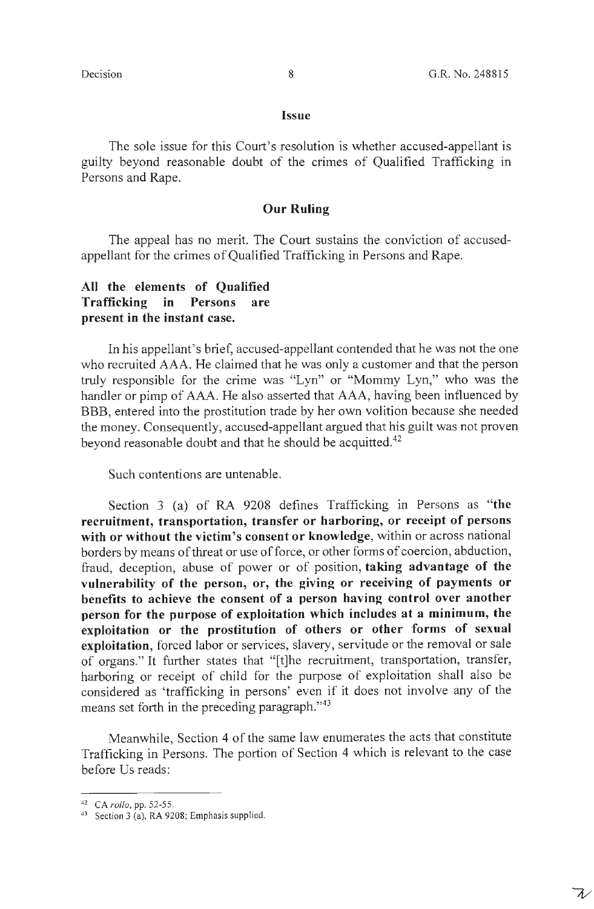$\overline{\wedge}$ 

#### **Issue**

The sole issue for this Court's resolution is whether accused-appellant is guilty beyond reasonable doubt of the crimes of Qualified Trafficking in Persons and Rape.

#### **Our Ruling**

The appeal has no merit. The Court sustains the conviction of accusedappellant for the crimes of Qualified Trafficking in Persons and Rape.

### **All the elements of Qualified Trafficking in Persons are present in the instant case.**

In his appellant's brief, accused-appellant contended that he was not the one who recruited AAA. He claimed that he was only a customer and that the person truly responsible for the crime was "Lyn" or "Mommy Lyn," who was the handler or pimp of AAA. He also asserted that AAA, having been influenced by BBB, entered into the prostitution trade by her own volition because she needed the money. Consequently, accused-appellant argued that his guilt was not proven beyond reasonable doubt and that he should be acquitted.<sup>42</sup>

Such contentions are untenable.

Section 3 (a) of RA 9208 defines Trafficking in Persons as **"the recruitment, transportation, transfer or harboring, or receipt of persons with or without the victim's consent or knowledge,** within or across national borders by means of threat or use of force, or other forms of coercion, abduction, fraud, deception, abuse of power or of position, **taking advantage of the vulnerability of the person, or, the giving or receiving of payments or benefits to achieve the consent of a person having control over another person for the purpose of exploitation which includes at a minimum, the exploitation or the prostitution of others or other forms of sexual exploitation,** forced labor or services, slavery, servitude or the removal or sale of organs." It further states that "[t]he recruitment, transportation, transfer, harboring or receipt of child for the purpose of exploitation shall also be considered as 'trafficking in persons' even if it does not involve any of the means set forth in the preceding paragraph."<sup>43</sup>

Meanwhile, Section 4 of the same law enumerates the acts that constitute Trafficking in Persons. The portion of Section 4 which is relevant to the case before Us reads:

<sup>&</sup>lt;sup>42</sup> CA *rollo*, pp. 52-55.<br><sup>43</sup> Section 3 (a), RA 9208; Emphasis supplied.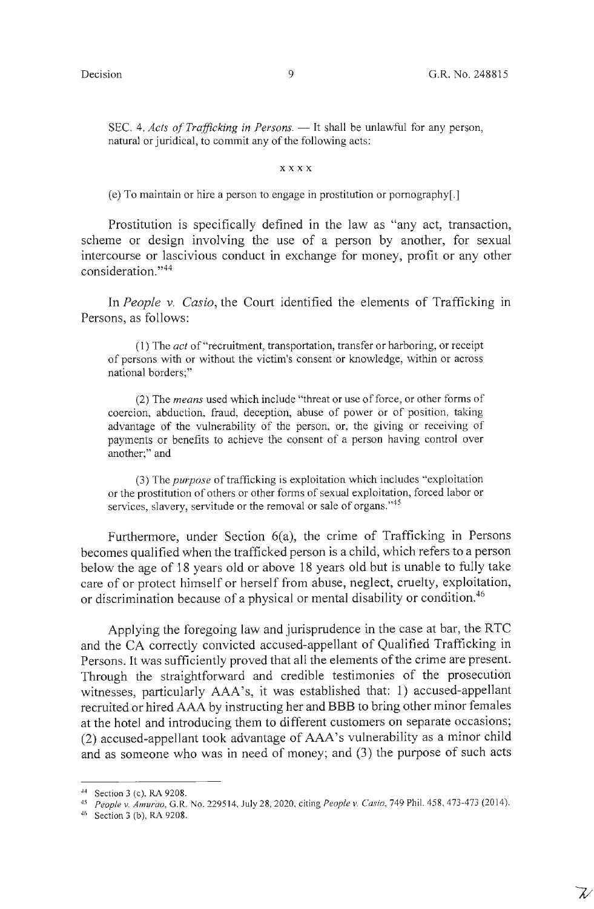$\mathcal{Z}'$ 

SEC. 4. *Acts of Trafficking in Persons.* — It shall be unlawful for any person, natural or juridical, to commit any of the following acts:

#### **x x x x**

(e) To maintain or hire a person to engage in prostitution or pornography[.]

Prostitution is specifically defined in the law as "any act, transaction, scheme or design involving the use of a person by another, for sexual intercourse or lascivious conduct in exchange for money, profit or any other consideration."<sup>44</sup>

In *People v. Casio*, the Court identified the elements of Trafficking in Persons, as follows:

(1) The *act* of "recruitment, transportation, transfer or harboring, or receipt of persons with or without the victim's consent or knowledge, within or across national borders;"

(2) The *means* used which include "threat or use of force, or other forms of coercion, abduction, fraud, deception, abuse of power or of position, taking advantage of the vulnerability of the person, or, the giving or receiving of payments or benefits to achieve the consent of a person having control over another;" and

(3) The *purpose* of trafficking is exploitation which includes "exploitation or the prostitution of others or other forms of sexual exploitation, forced labor or services, slavery, servitude or the removal or sale of organs."<sup>45</sup>

Furthermore, under Section 6(a), the crime of Trafficking in Persons becomes qualified when the trafficked person is a child, which refers to a person below the age of 18 years old or above 18 years old but is unable to fully take care of or protect himself or herself from abuse, neglect, cruelty, exploitation, or discrimination because of a physical or mental disability or condition.<sup>46</sup>

Applying the foregoing law and jurisprudence in the case at bar, the RTC and the CA correctly convicted accused-appellant of Qualified Trafficking in Persons. It was sufficiently proved that all the elements of the crime are present. Through the straightforward and credible testimonies of the prosecution witnesses, particularly AAA's, it was established that: 1) accused-appellant recruited or hired AAA by instructing her and BBB to bring other minor females at the hotel and introducing them to different customers on separate occasions; (2) accused-appellant took advantage of AAA's vulnerability as a minor child and as someone who was in need of money; and (3) the purpose of such acts

<sup>44</sup> Section 3 (c), RA 9208. 45 *People v. Amurao,* G.R. No. 2295 14, July 28, 2020, citing *People v. Casio,* 749 Phil. 458, 473-473 (2014). 46 Section 3 (b), RA 9208.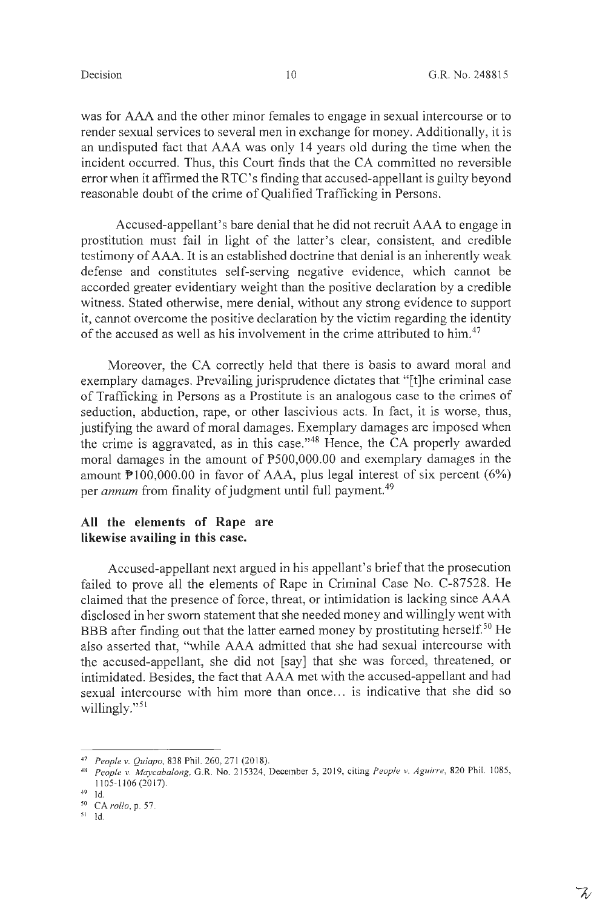$\mathcal{Z}$ 

was for AAA and the other minor females to engage in sexual intercourse or to render sexual services to several men in exchange for money. Additionally, it is an undisputed fact that AAA was only 14 years old during the time when the incident occurred. Thus, this Court finds that the CA committed no reversible error when it affirmed the RTC's finding that accused-appellant is guilty beyond reasonable doubt of the crime of Qualified Trafficking in Persons.

Accused-appellant's bare denial that he did not recruit AAA to engage in prostitution must fail in light of the latter's clear, consistent, and credible testimony of AAA. It is an established doctrine that denial is an inherently weak defense and constitutes self-serving negative evidence, which cannot be accorded greater evidentiary weight than the positive declaration by a credible witness. Stated otherwise, mere denial, without any strong evidence to support it, cannot overcome the positive declaration by the victim regarding the identity of the accused as well as his involvement in the crime attributed to him.<sup>47</sup>

Moreover, the CA correctly held that there is basis to award moral and exemplary damages. Prevailing jurisprudence dictates that "[t]he criminal case of Trafficking in Persons as a Prostitute is an analogous case to the crimes of seduction, abduction, rape, or other lascivious acts. In fact, it is worse, thus, justifying the award of moral damages. Exemplary damages are imposed when the crime is aggravated, as in this case. "48 Hence, the CA properly awarded moral damages in the amount of P500,000.00 and exemplary damages in the amount  $P100,000.00$  in favor of AAA, plus legal interest of six percent  $(6%)$ per *annum* from finality of judgment until full payment. <sup>49</sup>

### **All the elements of Rape are likewise availing in this case.**

Accused-appellant next argued in his appellant's brief that the prosecution failed to prove all the elements of Rape in Criminal Case No. C-87528. He claimed that the presence of force, threat, or intimidation is lacking since AAA disclosed in her sworn statement that she needed money and willingly went with BBB after finding out that the latter earned money by prostituting herself.<sup>50</sup> He also asserted that, "while AAA admitted that she had sexual intercourse with the accused-appellant, she did not [say] that she was forced, threatened, or intimidated. Besides, the fact that AAA met with the accused-appellant and had sexual intercourse with him more than once ... is indicative that she did so willingly."<sup>51</sup>

<sup>47</sup> People v. Quiapo, 838 Phil. 260, 271 (2018).

<sup>48</sup>*People* v. *Maycabalong,* G.R. No. 2 15324, December 5, 20 19, citing *People* v. *Aguirre,* 820 Phil. 1085, I I 05-1 I 06 (20 17).

<sup>49</sup> Id.

<sup>5</sup> ° CA *rollo,* p. 57.

<sup>51</sup> Id.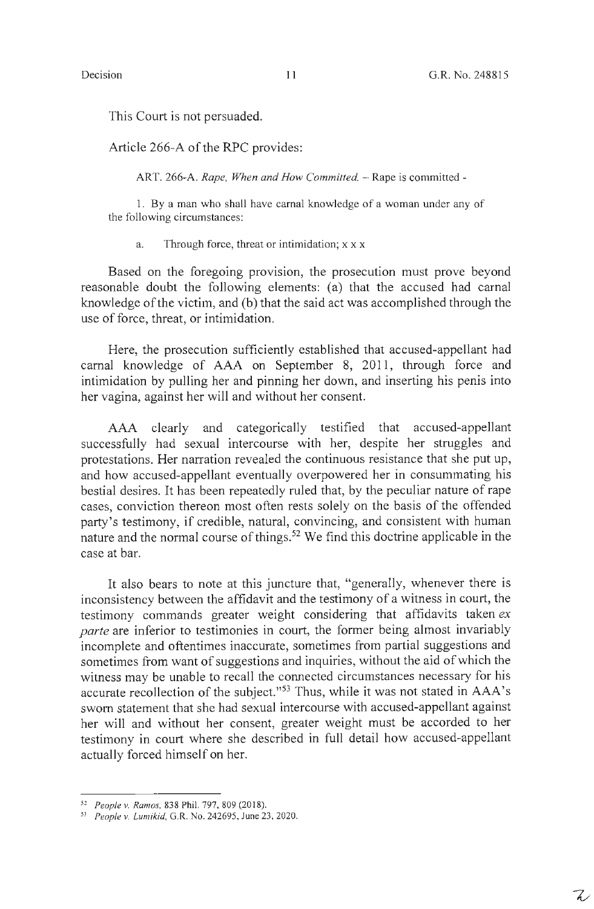$\mathcal{L}$ 

This Court is not persuaded.

Article 266-A of the RPC provides:

ART. 266-A. *Rape, When and How Committed.* - Rape is committed -

1. By a man who shall have carnal knowledge of a woman under any of the following circumstances:

a. Through force, threat or intimidation; x x x

Based on the foregoing provision, the prosecution must prove beyond reasonable doubt the following elements: (a) that the accused had carnal knowledge of the victim, and (b) that the said act was accomplished through the use of force, threat, or intimidation.

Here, the prosecution sufficiently established that accused-appellant had carnal knowledge of AAA on September 8, 2011, through force and intimidation by pulling her and pinning her down, and inserting his penis into her vagina, against her will and without her consent.

AAA clearly and categorically testified that accused-appellant successfully had sexual intercourse with her, despite her struggles and protestations. Her narration revealed the continuous resistance that she put up, and how accused-appellant eventually overpowered her in consummating his bestial desires. It has been repeatedly ruled that, by the peculiar nature of rape cases, conviction thereon most often rests solely on the basis of the offended party's testimony, if credible, natural, convincing, and consistent with human nature and the normal course of things.<sup>52</sup> We find this doctrine applicable in the case at bar.

It also bears to note at this juncture that, "generally, whenever there is inconsistency between the affidavit and the testimony of a witness in court, the testimony commands greater weight considering that affidavits taken *ex parte* are inferior to testimonies in court, the former being almost invariably incomplete and oftentimes inaccurate, sometimes from partial suggestions and sometimes from want of suggestions and inquiries, without the aid of which the witness may be unable to recall the connected circumstances necessary for his accurate recollection of the subject."53 Thus, while it was not stated in AAA's sworn statement that she had sexual intercourse with accused-appellant against her will and without her consent, greater weight must be accorded to her testimony in court where she described in full detail how accused-appellant actually forced himself on her.

<sup>52</sup>*People v. Ramos,* 838 Phil. 797, 809 (2018). 53 *People v. Lumikid,* G.R. No. 242695, June 23, 2020.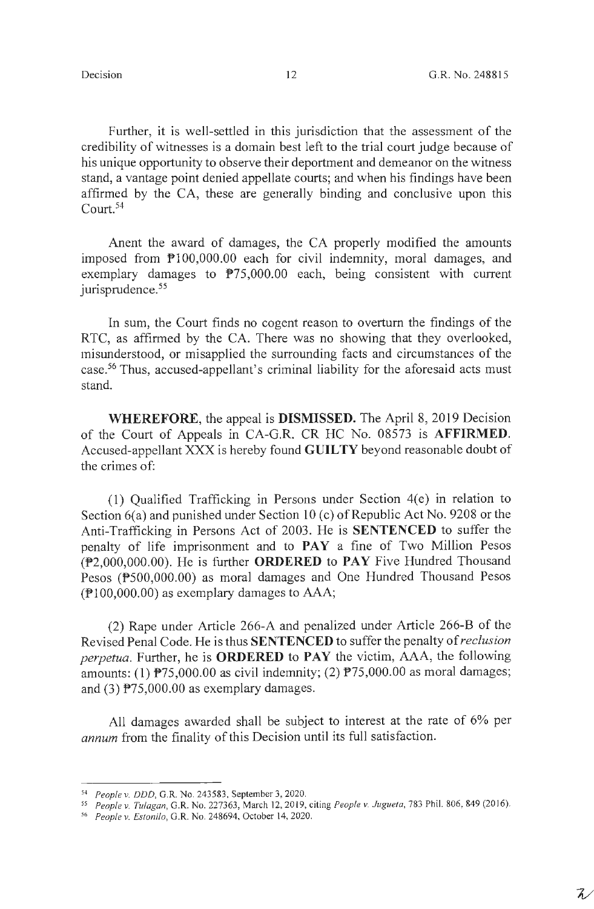Further, it is well-settled in this jurisdiction that the assessment of the credibility of witnesses is a domain best left to the trial court judge because of his unique opportunity to observe their deportment and demeanor on the witness stand, a vantage point denied appellate courts; and when his findings have been affirmed by the CA, these are generally binding and conclusive upon this Court. <sup>54</sup>

Anent the award of damages, the CA properly modified the amounts imposed from P100,000.00 each for civil indemnity, moral damages, and exemplary damages to  $P75,000.00$  each, being consistent with current jurisprudence.<sup>55</sup>

In sum, the Court finds no cogent reason to overturn the findings of the RTC, as affirmed by the CA. There was no showing that they overlooked, misunderstood, or misapplied the surrounding facts and circumstances of the case.56 Thus, accused-appellant's criminal liability for the aforesaid acts must stand.

**WHEREFORE,** the appeal is **DISMISSED.** The April 8, 2019 Decision of the Court of Appeals in CA-G.R. CR HC No. 08573 is **AFFIRMED.**  Accused-appellant XXX is hereby found **GUILTY** beyond reasonable doubt of the crimes of:

( **1)** Qualified Trafficking in Persons under Section 4( e) in relation to Section  $6(a)$  and punished under Section 10 (c) of Republic Act No. 9208 or the Anti-Trafficking in Persons Act of 2003. He is **SENTENCED** to suffer the penalty of life imprisonment and to **PAY** a fine of Two Million Pesos (P2,000,000.00). He is further **ORDERED to PAY** Five Hundred Thousand Pesos (P500,000.00) as moral damages and One Hundred Thousand Pesos  $(\mathbb{P}100,000.00)$  as exemplary damages to AAA;

(2) Rape under Article 266-A and penalized under Article 266-B of the Revised Penal Code. He is thus **SENTENCED** to suffer the penalty of *reclusion perpetua.* Further, he is **ORDERED to PAY** the victim, AAA, the following amounts: (1)  $P75,000.00$  as civil indemnity; (2)  $P75,000.00$  as moral damages; and (3) P75,000.00 as exemplary damages.

All damages awarded shall be subject to interest at the rate of 6% per *annum* from the finality of this Decision until its full satisfaction.

<sup>54</sup> *People v. DDD,* G.R. No. 243583, September 3, 2020.

*<sup>55</sup> People v. Tulagan,* G.R. No. 2273 63, March I 2, 20 I 9, citing *People v. Juguela,* 783 Phil. 806, 849 (20 I 6). 56 *People v. Eslonilo,* G.R. No. 248694, October 14, 2020.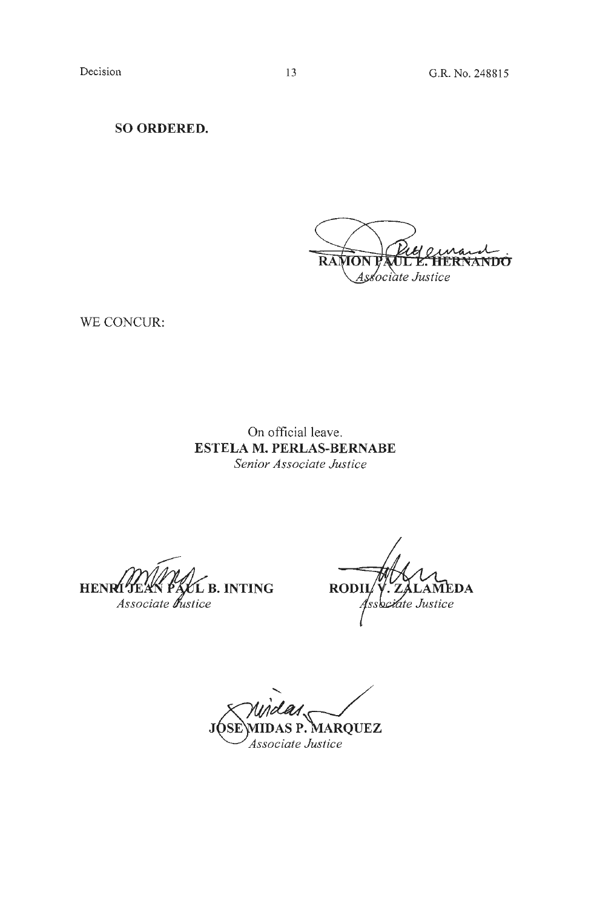**SO ORDERED.** 

**RAMON** ERNANDO Associate Justice

WE CONCUR:

On official leave. **ESTELA M. PERLAS-BERNABE**  *Senior Associate Justice* 

**HENRI LITEAN PACL B. INTING**<br>Associate *bustice* 

RODII AMEDA ssociate Justice

JOSE\MIDAS P. MARQUEZ *Associate Justice*